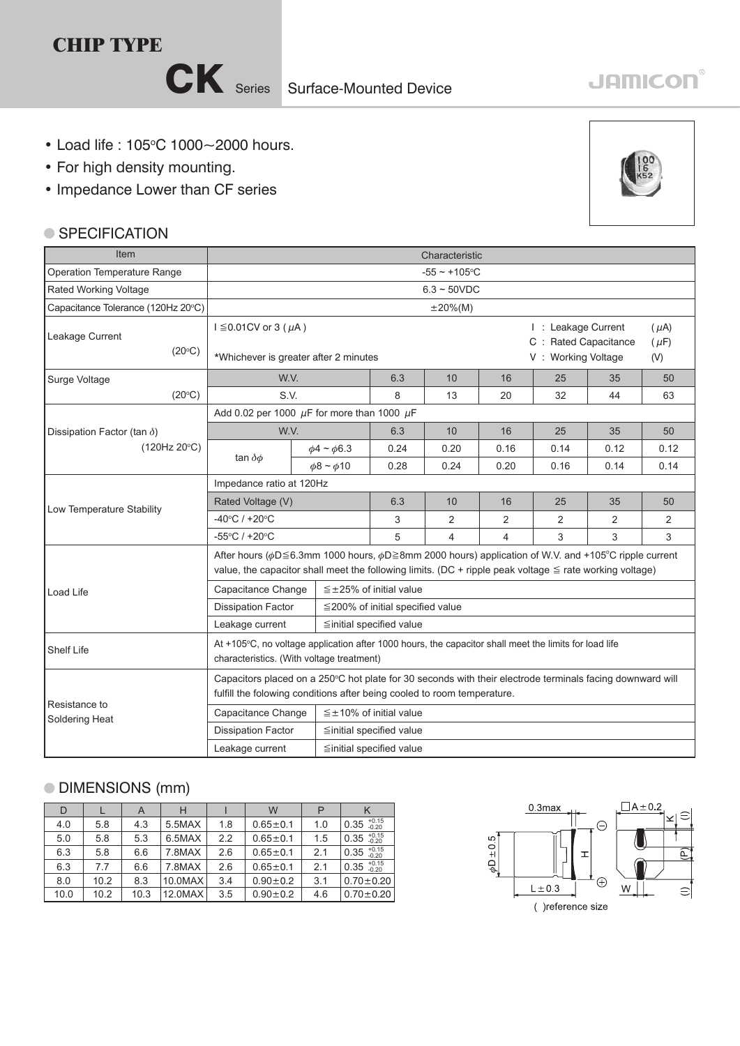

# **JAMICON®**

- $\cdot$  Load life : 105°C 1000~2000 hours.
- For high density mounting.
- Impedance Lower than CF series

#### ● SPECIFICATION

Leakage Current

Surge Voltage

Item Operation Temperature Range Rated Working Voltage

 $(20^{\circ}C)$ 

 $(20^{\circ}C)$ 

 $(120$ Hz  $20^{\circ}$ C $)$ 

Dissipation Factor (tan  $\delta$ )

Low Temperature Stability



|                                 | -55°C / +20°C                                                                                                                                                                                                                               |  |                                        | 4 | 4 |  |  |  |  |  |  |  |
|---------------------------------|---------------------------------------------------------------------------------------------------------------------------------------------------------------------------------------------------------------------------------------------|--|----------------------------------------|---|---|--|--|--|--|--|--|--|
|                                 | After hours ( $\phi$ D 	imes 6.3mm 1000 hours, $\phi$ D 	imes 8mm 2000 hours) application of W.V. and +105°C ripple current<br>value, the capacitor shall meet the following limits. (DC + ripple peak voltage $\leq$ rate working voltage) |  |                                        |   |   |  |  |  |  |  |  |  |
| Load Life                       | Capacitance Change<br>$\leq$ ±25% of initial value                                                                                                                                                                                          |  |                                        |   |   |  |  |  |  |  |  |  |
|                                 | <b>Dissipation Factor</b>                                                                                                                                                                                                                   |  | $\leq$ 200% of initial specified value |   |   |  |  |  |  |  |  |  |
|                                 | $\leq$ initial specified value<br>Leakage current                                                                                                                                                                                           |  |                                        |   |   |  |  |  |  |  |  |  |
| <b>Shelf Life</b>               | At +105°C, no voltage application after 1000 hours, the capacitor shall meet the limits for load life<br>characteristics. (With voltage treatment)                                                                                          |  |                                        |   |   |  |  |  |  |  |  |  |
|                                 | Capacitors placed on a 250°C hot plate for 30 seconds with their electrode terminals facing downward will<br>fulfill the folowing conditions after being cooled to room temperature.                                                        |  |                                        |   |   |  |  |  |  |  |  |  |
| Resistance to<br>Soldering Heat | Capacitance Change<br>$\leq \pm 10\%$ of initial value                                                                                                                                                                                      |  |                                        |   |   |  |  |  |  |  |  |  |
|                                 | <b>Dissipation Factor</b>                                                                                                                                                                                                                   |  | $\leq$ initial specified value         |   |   |  |  |  |  |  |  |  |
|                                 | Leakage current<br>$\leq$ initial specified value                                                                                                                                                                                           |  |                                        |   |   |  |  |  |  |  |  |  |

### DIMENSIONS (mm)

| D    |      | $\overline{A}$ |         |     | W              |     |                        |
|------|------|----------------|---------|-----|----------------|-----|------------------------|
| 4.0  | 5.8  | 4.3            | 5.5MAX  | 1.8 | $0.65 + 0.1$   | 1.0 | $0.35_{0.20}^{+0.15}$  |
| 5.0  | 5.8  | 5.3            | 6.5MAX  | 2.2 | $0.65 \pm 0.1$ | 1.5 | $0.35^{+0.15}_{-0.20}$ |
| 6.3  | 5.8  | 6.6            | 7.8MAX  | 2.6 | $0.65 \pm 0.1$ | 2.1 | $0.35^{+0.15}_{-0.20}$ |
| 6.3  | 7.7  | 6.6            | 7.8MAX  | 2.6 | $0.65 \pm 0.1$ | 2.1 | $0.35^{+0.15}_{-0.20}$ |
| 8.0  | 10.2 | 8.3            | 10.0MAX | 3.4 | $0.90 \pm 0.2$ | 3.1 | $0.70 \pm 0.20$        |
| 10.0 | 10.2 | 10.3           | 12.0MAX | 3.5 | $0.90 \pm 0.2$ | 4.6 | $0.70 + 0.20$          |